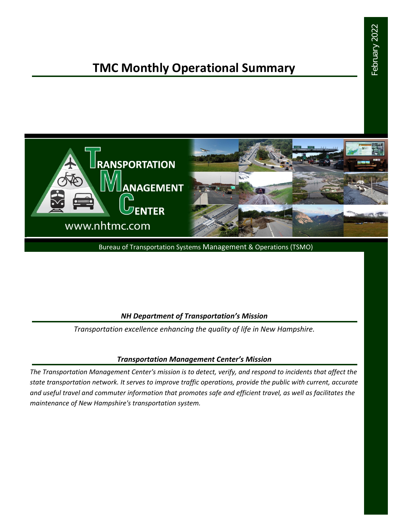# **TMC Monthly Operational Summary**



Bureau of Transportation Systems Management & Operations (TSMO)

#### *NH Department of Transportation's Mission*

*Transportation excellence enhancing the quality of life in New Hampshire.*

#### *Transportation Management Center's Mission*

*The Transportation Management Center's mission is to detect, verify, and respond to incidents that affect the state transportation network. It serves to improve traffic operations, provide the public with current, accurate and useful travel and commuter information that promotes safe and efficient travel, as well as facilitates the maintenance of New Hampshire's transportation system.*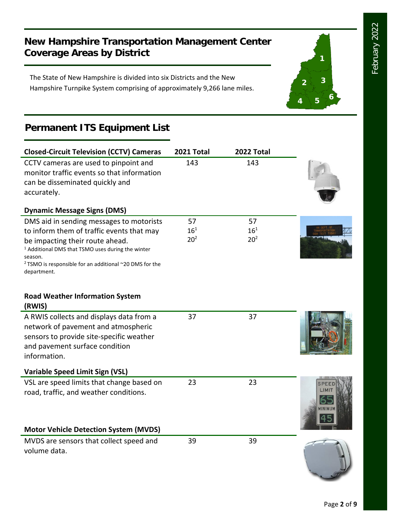**1**

**2 3**

**<sup>4</sup> <sup>5</sup> <sup>6</sup>**

### **New Hampshire Transportation Management Center Coverage Areas by District**

The State of New Hampshire is divided into six Districts and the New Hampshire Turnpike System comprising of approximately 9,266 lane miles.

## **Permanent ITS Equipment List**

| <b>Closed-Circuit Television (CCTV) Cameras</b>                                                                                                                                                                                                                                          | 2021 Total                        | 2022 Total                        |        |
|------------------------------------------------------------------------------------------------------------------------------------------------------------------------------------------------------------------------------------------------------------------------------------------|-----------------------------------|-----------------------------------|--------|
| CCTV cameras are used to pinpoint and<br>monitor traffic events so that information<br>can be disseminated quickly and<br>accurately.                                                                                                                                                    | 143                               | 143                               |        |
| <b>Dynamic Message Signs (DMS)</b>                                                                                                                                                                                                                                                       |                                   |                                   |        |
| DMS aid in sending messages to motorists<br>to inform them of traffic events that may<br>be impacting their route ahead.<br><sup>1</sup> Additional DMS that TSMO uses during the winter<br>season.<br><sup>2</sup> TSMO is responsible for an additional ~20 DMS for the<br>department. | 57<br>$16^{1}$<br>20 <sup>2</sup> | 57<br>$16^{1}$<br>20 <sup>2</sup> |        |
| <b>Road Weather Information System</b><br>(RWIS)                                                                                                                                                                                                                                         |                                   |                                   |        |
| A RWIS collects and displays data from a<br>network of pavement and atmospheric<br>sensors to provide site-specific weather<br>and pavement surface condition<br>information.                                                                                                            | 37                                | 37                                |        |
| <b>Variable Speed Limit Sign (VSL)</b>                                                                                                                                                                                                                                                   |                                   |                                   |        |
| VSL are speed limits that change based on<br>road, traffic, and weather conditions.                                                                                                                                                                                                      | 23                                | 23                                | INIMII |
| <b>Motor Vehicle Detection System (MVDS)</b>                                                                                                                                                                                                                                             |                                   |                                   |        |
| MVDS are sensors that collect speed and<br>volume data.                                                                                                                                                                                                                                  | 39                                | 39                                |        |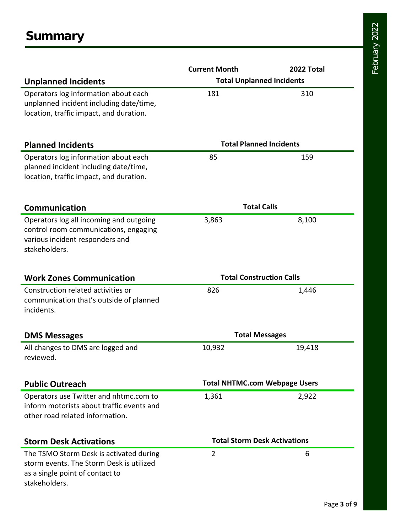|                                           | <b>Current Month</b>                 | 2022 Total |  |
|-------------------------------------------|--------------------------------------|------------|--|
| <b>Unplanned Incidents</b>                | <b>Total Unplanned Incidents</b>     |            |  |
| Operators log information about each      | 181                                  | 310        |  |
| unplanned incident including date/time,   |                                      |            |  |
| location, traffic impact, and duration.   |                                      |            |  |
|                                           |                                      |            |  |
| <b>Planned Incidents</b>                  | <b>Total Planned Incidents</b>       |            |  |
| Operators log information about each      | 85                                   | 159        |  |
| planned incident including date/time,     |                                      |            |  |
| location, traffic impact, and duration.   |                                      |            |  |
| <b>Communication</b>                      | <b>Total Calls</b>                   |            |  |
| Operators log all incoming and outgoing   | 3,863                                | 8,100      |  |
| control room communications, engaging     |                                      |            |  |
| various incident responders and           |                                      |            |  |
| stakeholders.                             |                                      |            |  |
| <b>Work Zones Communication</b>           | <b>Total Construction Calls</b>      |            |  |
| Construction related activities or        | 826                                  | 1,446      |  |
| communication that's outside of planned   |                                      |            |  |
| incidents.                                |                                      |            |  |
| <b>DMS Messages</b>                       | <b>Total Messages</b>                |            |  |
| All changes to DMS are logged and         | 10,932                               | 19,418     |  |
| reviewed.                                 |                                      |            |  |
| <b>Public Outreach</b>                    | <b>Total NHTMC.com Webpage Users</b> |            |  |
| Operators use Twitter and nhtmc.com to    | 1,361                                | 2,922      |  |
| inform motorists about traffic events and |                                      |            |  |
| other road related information.           |                                      |            |  |
| <b>Storm Desk Activations</b>             | <b>Total Storm Desk Activations</b>  |            |  |
| The TSMO Storm Desk is activated during   | $\overline{2}$                       | 6          |  |
| storm events. The Storm Desk is utilized  |                                      |            |  |
| as a single point of contact to           |                                      |            |  |
| stakeholders.                             |                                      |            |  |

February 2022 February 2022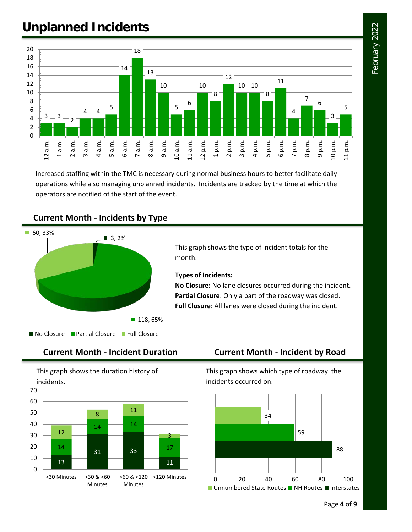# February 2022 February 2022

# **Unplanned Incidents**



Increased staffing within the TMC is necessary during normal business hours to better facilitate daily operations while also managing unplanned incidents. Incidents are tracked by the time at which the operators are notified of the start of the event.

#### **Current Month - Incidents by Type**



This graph shows the type of incident totals for the month.

#### **Types of Incidents:**

**No Closure:** No lane closures occurred during the incident. **Partial Closure**: Only a part of the roadway was closed. **Full Closure**: All lanes were closed during the incident.



This graph shows the duration history of incidents.



### **Current Month - Incident Duration Current Month - Incident by Road**

This graph shows which type of roadway the incidents occurred on.

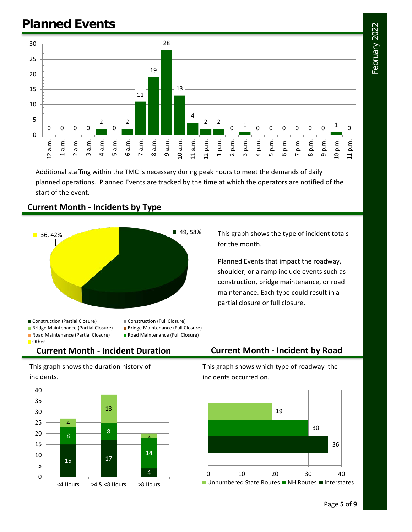# **Planned Events**



Additional staffing within the TMC is necessary during peak hours to meet the demands of daily planned operations. Planned Events are tracked by the time at which the operators are notified of the start of the event.



#### **Current Month - Incidents by Type**

■ Bridge Maintenance (Partial Closure) ■ Bridge Maintenance (Full Closure)

- 
- Road Maintenance (Partial Closure) Road Maintenance (Full Closure)

#### **Current Month - Incident Duration Current Month - Incident by Road**

This graph shows the duration history of incidents.

Other



partial closure or full closure.

This graph shows the type of incident totals

Planned Events that impact the roadway, shoulder, or a ramp include events such as construction, bridge maintenance, or road maintenance. Each type could result in a

for the month.

This graph shows which type of roadway the incidents occurred on.



February 2022 February 2022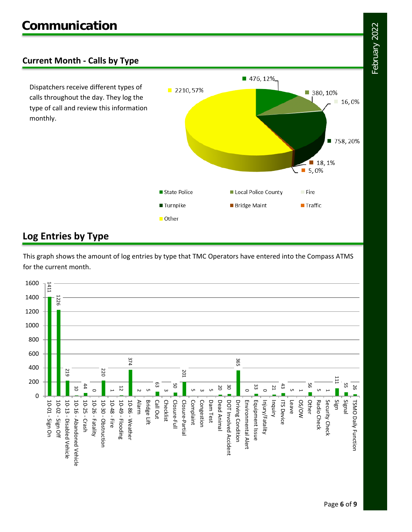#### **Current Month - Calls by Type**

Dispatchers receive different types of calls throughout the day. They log the type of call and review this information monthly.



### **Log Entries by Type**

This graph shows the amount of log entries by type that TMC Operators have entered into the Compass ATMS for the current month.

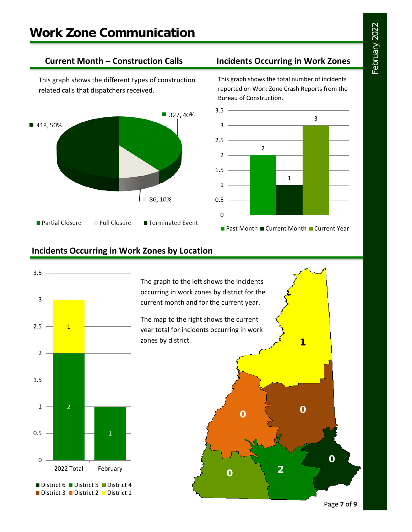This graph shows the different types of construction related calls that dispatchers received.



#### **Current Month – Construction Calls Incidents Occurring in Work Zones**

This graph shows the total number of incidents reported on Work Zone Crash Reports from the Bureau of Construction.



#### **Incidents Occurring in Work Zones by Location**



The graph to the left shows the incidents occurring in work zones by district for the current month and for the current year.

The map to the right shows the current year total for incidents occurring in work zones by district.

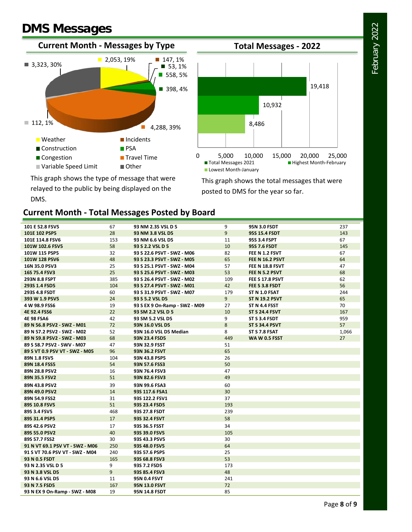# **DMS Messages**

DMS.





This graph shows the type of message that were relayed to the public by being displayed on the

This graph shows the total messages that were posted to DMS for the year so far.

#### **Current Month - Total Messages Posted by Board**

| 101 E 52.8 FSV5                 | 67  | 93 NM 2.35 VSL D 5            | 9              | <b>95N 3.0 FSDT</b>    | 237   |
|---------------------------------|-----|-------------------------------|----------------|------------------------|-------|
| 101E 102 PSP5                   | 28  | 93 NM 3.8 VSL D5              | $\overline{9}$ | <b>95S 15.4 FSDT</b>   | 143   |
| 101E 114.8 FSV6                 | 153 | 93 NM 6.6 VSL D5              | 11             | 95S 3.4 FSPT           | 67    |
| 101W 102.6 FSV5                 | 58  | 93 S 2.2 VSL D 5              | 10             | <b>95S 7.6 FSDT</b>    | 145   |
| 101W 115 PSP5                   | 32  | 93 S 22.6 PSVT - SWZ - M06    | 82             | FEE N 1.2 FSVT         | 67    |
| 101W 128 PSV6                   | 48  | 93 S 23.3 PSVT - SWZ - M05    | 65             | <b>FEE N 16.2 PSVT</b> | 64    |
| 16N 35.0 PSV3                   | 25  | 93 S 25.1 PSVT - SWZ - M04    | 57             | FEE N 18.8 FSVT        | 47    |
| 16S 75.4 FSV3                   | 25  | 93 S 25.6 PSVT - SWZ - M03    | 53             | FEE N 5.2 PSVT         | 68    |
| 293N 8.8 FSPT                   | 385 | 93 S 26.4 PSVT - SWZ - M02    | 109            | FEE S 17.8 PSVT        | 62    |
| 293S 1.4 FSD5                   | 104 | 93 S 27.4 PSVT - SWZ - M01    | 42             | FEE S 3.8 FSDT         | 56    |
| 293S 4.8 FSDT                   | 60  | 93 S 31.9 PSVT - SWZ - M07    | 179            | ST N 1.0 FSAT          | 244   |
| 393 W 1.9 PSV5                  | 24  | 93 S 5.2 VSL D5               | 9 <sup>°</sup> | <b>ST N 19.2 PSVT</b>  | 65    |
| 4 W 98.9 FSS6                   | 19  | 93 S EX 9 On-Ramp - SWZ - M09 | 27             | ST N 4.4 FSST          | 70    |
| <b>4E 92.4 FSS6</b>             | 22  | 93 SM 2.2 VSL D 5             | 10             | <b>ST S 24.4 FSVT</b>  | 167   |
| <b>4E 98 FSA6</b>               | 42  | 93 SM 5.2 VSL D5              | 9              | ST S 3.4 FSDT          | 959   |
| 89 N 56.8 PSV2 - SWZ - M01      | 72  | 93N 16.0 VSL D5               | 8              | <b>ST S 34.4 PSVT</b>  | 57    |
| 89 N 57.2 PSV2 - SWZ - M02      | 52  | 93N 16.0 VSL D5 Median        | 8              | ST S 7.8 FSAT          | 1,066 |
| 89 N 59.8 PSV2 - SWZ - M03      | 68  | 93N 23.4 FSD5                 | 449            | <b>WA W 0.5 FSST</b>   | 27    |
| 89 S 58.7 PSV2 - SWV - M07      | 47  | 93N 32.9 FSST                 | 51             |                        |       |
| 89 S VT 0.9 PSV VT - SWZ - M05  | 96  | 93N 36.2 FSVT                 | 65             |                        |       |
| 89N 1.8 FSV5                    | 104 | 93N 43.8 PSP5                 | 26             |                        |       |
| 89N 18.4 FSS5                   | 54  | 93N 57.6 FSS3                 | 50             |                        |       |
| 89N 28.8 PSV2                   | 16  | 93N 76.4 FSV3                 | 47             |                        |       |
| 89N 35.5 FSV2                   | 51  | 93N 82.6 FSV3                 | 49             |                        |       |
| 89N 43.8 PSV2                   | 39  | 93N 99.6 FSA3                 | 60             |                        |       |
| 89N 49.0 PSV2                   | 14  | 93S 117.6 FSA1                | 30             |                        |       |
| 89N 54.9 FSS2                   | 31  | 93S 122.2 FSV1                | 37             |                        |       |
| 89S 10.8 FSV5                   | 51  | 93S 23.4 FSD5                 | 193            |                        |       |
| 89S 3.4 FSV5                    | 468 | 93S 27.8 FSDT                 | 239            |                        |       |
| 89S 31.4 PSP5                   | 17  | 93S 32.4 FSVT                 | 58             |                        |       |
| 89S 42.6 PSV2                   | 17  | 93S 36.5 FSST                 | 34             |                        |       |
| 89S 55.0 PSV2                   | 40  | 93S 39.0 FSV5                 | 105            |                        |       |
| 89S 57.7 FSS2                   | 30  | 93S 43.3 PSV5                 | 30             |                        |       |
| 91 N VT 69.1 PSV VT - SWZ - M06 | 250 | 93S 48.0 FSV5                 | 64             |                        |       |
| 91 S VT 70.6 PSV VT - SWZ - M04 | 240 | 93S 57.6 PSP5                 | 25             |                        |       |
| 93 N 0.5 FSDT                   | 165 | 93S 68.8 FSV3                 | 53             |                        |       |
| 93 N 2.35 VSL D 5               | 9   | 93S 7.2 FSD5                  | 173            |                        |       |
| 93 N 3.8 VSL D5                 | 9   | 93S 85.4 FSV3                 | 48             |                        |       |
| 93 N 6.6 VSL D5                 | 11  | 95N 0.4 FSVT                  | 241            |                        |       |
| 93 N 7.5 FSD5                   | 167 | <b>95N 13.0 FSVT</b>          | 72             |                        |       |
| 93 N EX 9 On-Ramp - SWZ - M08   | 19  | <b>95N 14.8 FSDT</b>          | 85             |                        |       |